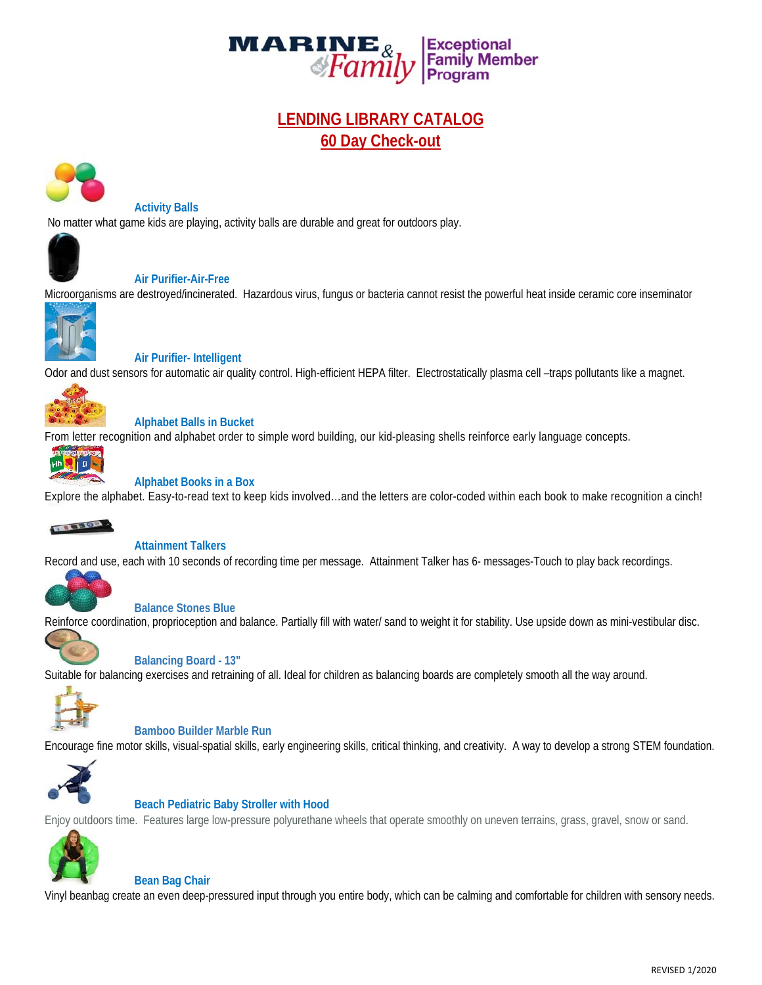

# **LENDING LIBRARY CATALOG 60 Day Check-out**



#### **Activity Balls**

No matter what game kids are playing, activity balls are durable and great for outdoors play.



## **Air Purifier-Air-Free**

Microorganisms are destroyed/incinerated. Hazardous virus, fungus or bacteria cannot resist the powerful heat inside ceramic core inseminator



 **Air Purifier- Intelligent** 

Odor and dust sensors for automatic air quality control. High-efficient HEPA filter. Electrostatically plasma cell –traps pollutants like a magnet.



# **Alphabet Balls in Bucket**

From letter recognition and alphabet order to simple word building, our kid-pleasing shells reinforce early language concepts.



# **Alphabet Books in a Box**

Explore the alphabet. Easy-to-read text to keep kids involved…and the letters are color-coded within each book to make recognition a cinch!



# **Attainment Talkers**

Record and use, each with 10 seconds of recording time per message. Attainment Talker has 6- messages-Touch to play back recordings.



## **Balance Stones Blue**

Reinforce coordination, proprioception and balance. Partially fill with water/ sand to weight it for stability. Use upside down as mini-vestibular disc.



# **Balancing Board - 13"**

Suitable for balancing exercises and retraining of all. Ideal for children as balancing boards are completely smooth all the way around.



# **Bamboo Builder Marble Run**

Encourage fine motor skills, visual-spatial skills, early engineering skills, critical thinking, and creativity. A way to develop a strong STEM foundation.



# **Beach Pediatric Baby Stroller with Hood**

Enjoy outdoors time. Features large low-pressure polyurethane wheels that operate smoothly on uneven terrains, grass, gravel, snow or sand.



## **Bean Bag Chair**

Vinyl beanbag create an even deep-pressured input through you entire body, which can be calming and comfortable for children with sensory needs.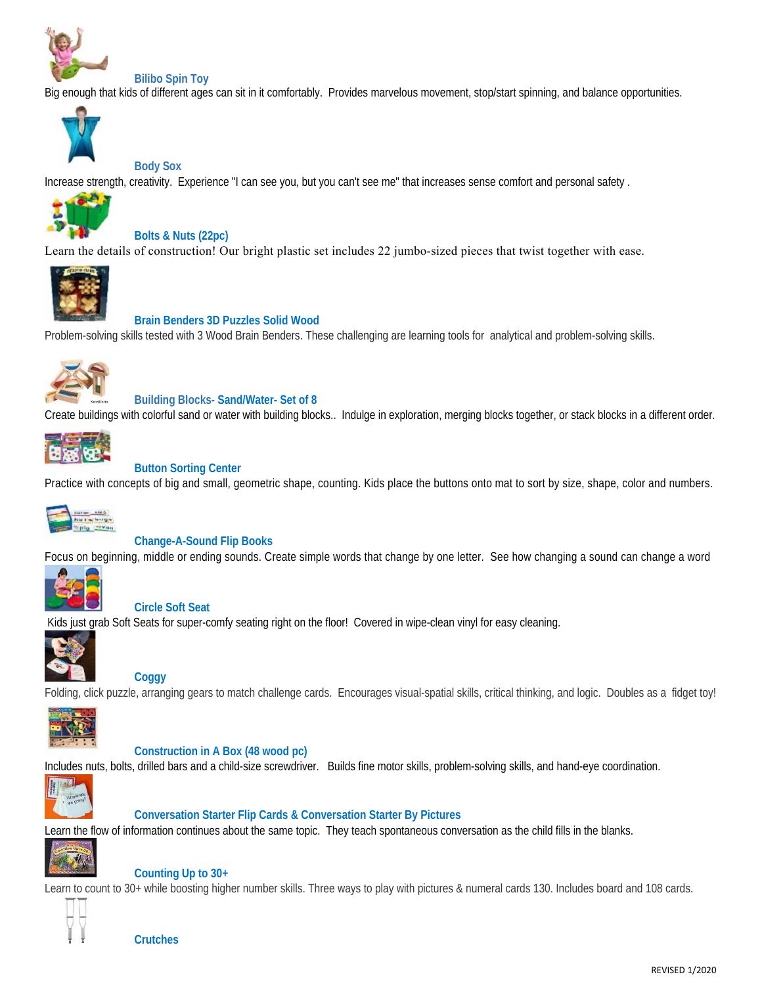

#### **Bilibo Spin Toy**

Big enough that kids of different ages can sit in it comfortably. Provides marvelous movement, stop/start spinning, and balance opportunities.



#### **Body Sox**

Increase strength, creativity. Experience "I can see you, but you can't see me" that increases sense comfort and personal safety .



#### **Bolts & Nuts (22pc)**

Learn the details of construction! Our bright plastic set includes 22 jumbo-sized pieces that twist together with ease.



#### **Brain Benders 3D Puzzles Solid Wood**

Problem-solving skills tested with 3 Wood Brain Benders. These challenging are learning tools for analytical and problem-solving skills.



#### **Building Blocks- Sand/Water- Set of 8**

Create buildings with colorful sand or water with building blocks.. Indulge in exploration, merging blocks together, or stack blocks in a different order.



## **Button Sorting Center**

Practice with concepts of big and small, geometric shape, counting. Kids place the buttons onto mat to sort by size, shape, color and numbers.



#### **Change-A-Sound Flip Books**

Focus on beginning, middle or ending sounds. Create simple words that change by one letter. See how changing a sound can change a word



#### **Circle Soft Seat**

Kids just grab Soft Seats for super-comfy seating right on the floor! Covered in wipe-clean vinyl for easy cleaning.



#### **Coggy**

Folding, click puzzle, arranging gears to match challenge cards. Encourages visual-spatial skills, critical thinking, and logic. Doubles as a fidget toy!



#### **Construction in A Box (48 wood pc)**

Includes nuts, bolts, drilled bars and a child-size screwdriver. Builds fine motor skills, problem-solving skills, and hand-eye coordination.



#### **Conversation Starter Flip Cards & Conversation Starter By Pictures**

Learn the flow of information continues about the same topic. They teach spontaneous conversation as the child fills in the blanks.



#### **Counting Up to 30+**

Learn to count to 30+ while boosting higher number skills. Three ways to play with pictures & numeral cards 130. Includes board and 108 cards.

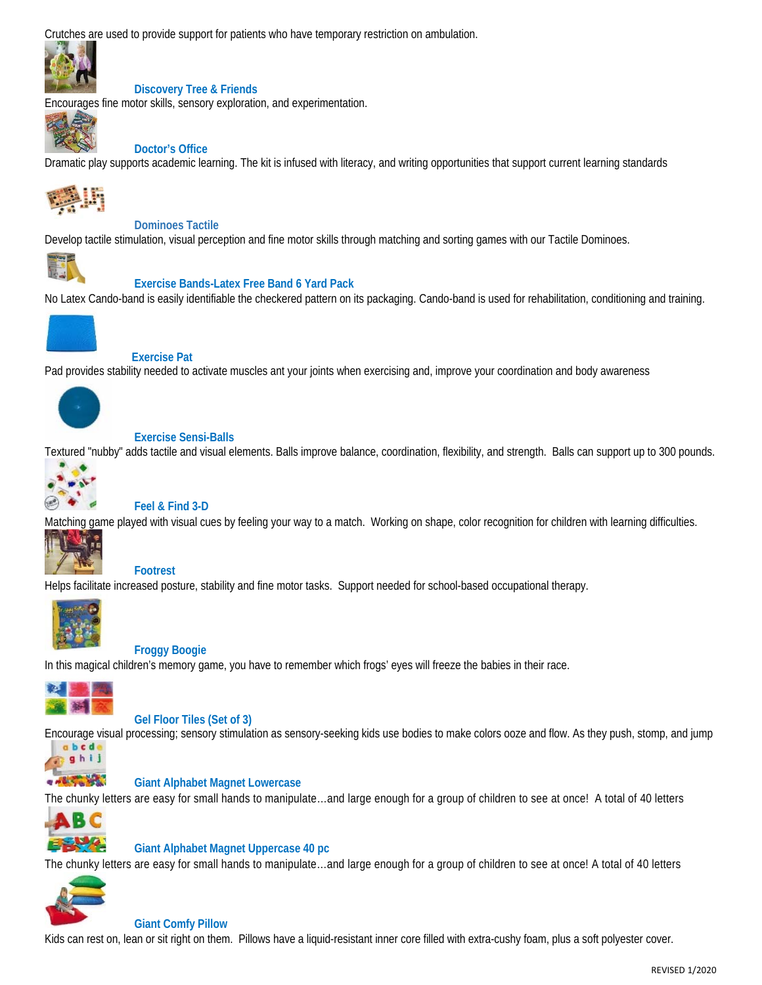Crutches are used to provide support for patients who have temporary restriction on ambulation.



# **Discovery Tree & Friends**

Encourages fine motor skills, sensory exploration, and experimentation.



# **Doctor's Office**

Dramatic play supports academic learning. The kit is infused with literacy, and writing opportunities that support current learning standards



 **Dominoes Tactile** 

Develop tactile stimulation, visual perception and fine motor skills through matching and sorting games with our Tactile Dominoes.



# **Exercise Bands-Latex Free Band 6 Yard Pack**

No Latex Cando-band is easily identifiable the checkered pattern on its packaging. Cando-band is used for rehabilitation, conditioning and training.



## **Exercise Pat**

Pad provides stability needed to activate muscles ant your joints when exercising and, improve your coordination and body awareness



# **Exercise Sensi-Balls**

Textured "nubby" adds tactile and visual elements. Balls improve balance, coordination, flexibility, and strength. Balls can support up to 300 pounds.



# **Feel & Find 3-D**

Matching game played with visual cues by feeling your way to a match. Working on shape, color recognition for children with learning difficulties.



# **Footrest**

Helps facilitate increased posture, stability and fine motor tasks. Support needed for school-based occupational therapy.



## **Froggy Boogie**

In this magical children's memory game, you have to remember which frogs' eyes will freeze the babies in their race.



ghij **ALCOHOL** 

## **Gel Floor Tiles (Set of 3)**

Encourage visual processing; sensory stimulation as sensory-seeking kids use bodies to make colors ooze and flow. As they push, stomp, and jump abcd



The chunky letters are easy for small hands to manipulate…and large enough for a group of children to see at once! A total of 40 letters



## **Giant Alphabet Magnet Uppercase 40 pc**

The chunky letters are easy for small hands to manipulate…and large enough for a group of children to see at once! A total of 40 letters



#### **Giant Comfy Pillow**

Kids can rest on, lean or sit right on them. Pillows have a liquid-resistant inner core filled with extra-cushy foam, plus a soft polyester cover.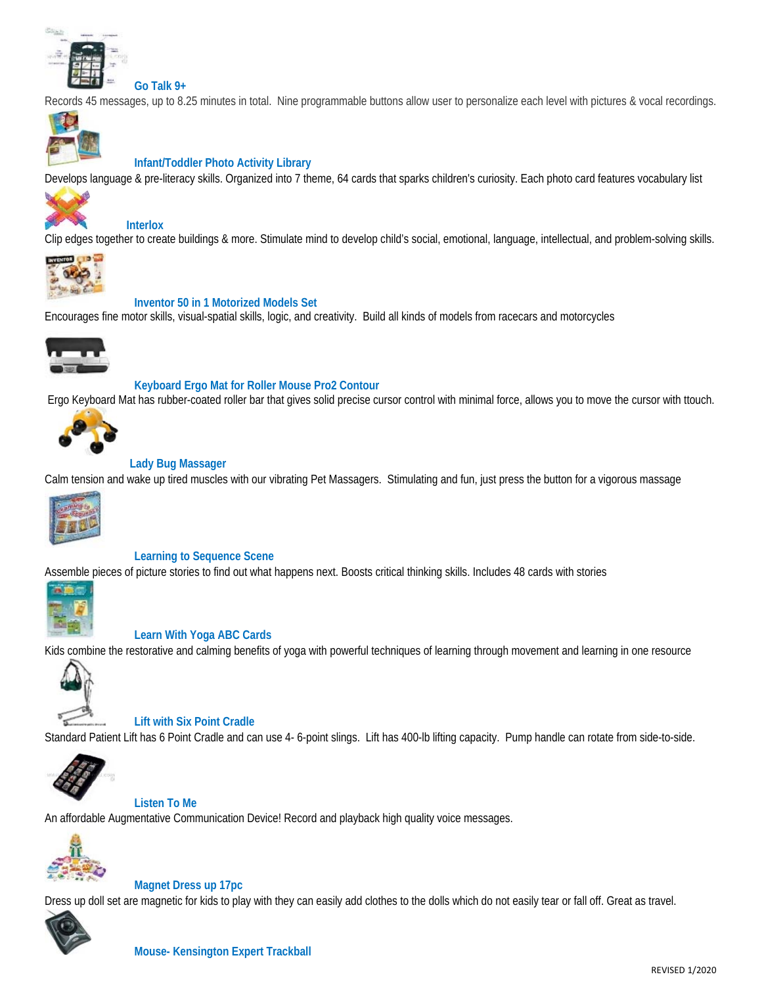

Records 45 messages, up to 8.25 minutes in total. Nine programmable buttons allow user to personalize each level with pictures & vocal recordings.



## **Infant/Toddler Photo Activity Library**

Develops language & pre-literacy skills. Organized into 7 theme, 64 cards that sparks children's curiosity. Each photo card features vocabulary list



# **Interlox**

Clip edges together to create buildings & more. Stimulate mind to develop child's social, emotional, language, intellectual, and problem-solving skills.



#### **Inventor 50 in 1 Motorized Models Set**

Encourages fine motor skills, visual-spatial skills, logic, and creativity. Build all kinds of models from racecars and motorcycles



#### **Keyboard Ergo Mat for Roller Mouse Pro2 Contour**

Ergo Keyboard Mat has rubber-coated roller bar that gives solid precise cursor control with minimal force, allows you to move the cursor with ttouch.



#### **Lady Bug Massager**

Calm tension and wake up tired muscles with our vibrating Pet Massagers. Stimulating and fun, just press the button for a vigorous massage



**Learning to Sequence Scene** 

Assemble pieces of picture stories to find out what happens next. Boosts critical thinking skills. Includes 48 cards with stories



#### **Learn With Yoga ABC Cards**

Kids combine the restorative and calming benefits of yoga with powerful techniques of learning through movement and learning in one resource



 **Lift with Six Point Cradle** 

Standard Patient Lift has 6 Point Cradle and can use 4- 6-point slings. Lift has 400-lb lifting capacity. Pump handle can rotate from side-to-side.



 **Listen To Me** 

An affordable Augmentative Communication Device! Record and playback high quality voice messages.



 **Magnet Dress up 17pc** 

Dress up doll set are magnetic for kids to play with they can easily add clothes to the dolls which do not easily tear or fall off. Great as travel.

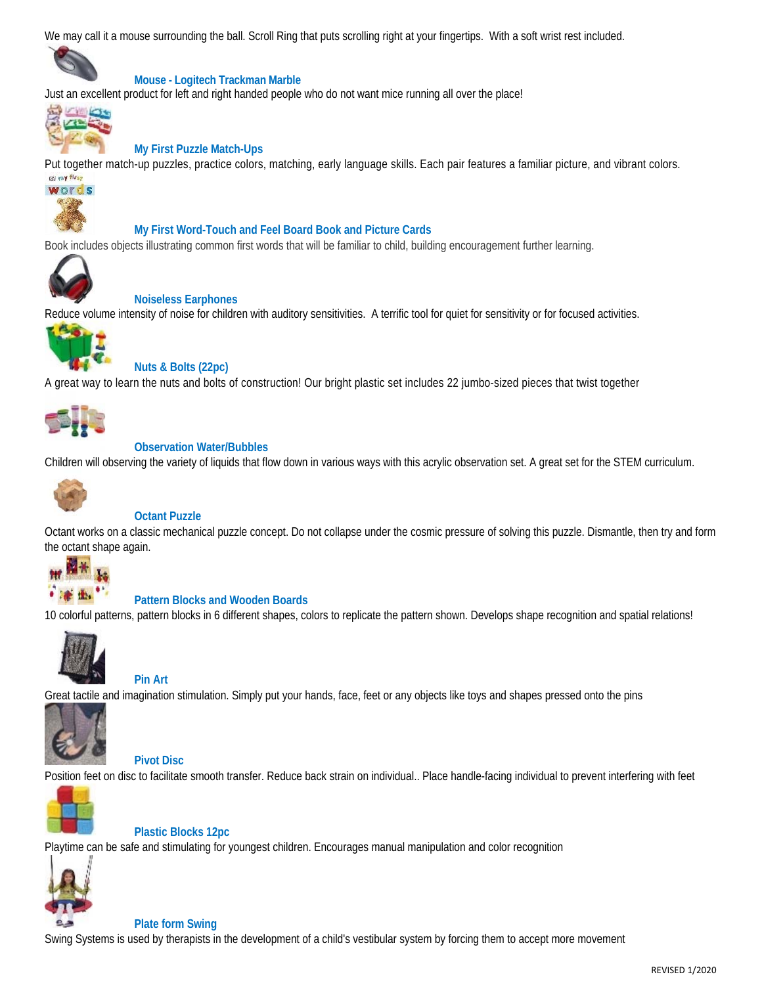We may call it a mouse surrounding the ball. Scroll Ring that puts scrolling right at your fingertips. With a soft wrist rest included.



# **Mouse - Logitech Trackman Marble**

Just an excellent product for left and right handed people who do not want mice running all over the place!



## **My First Puzzle Match-Ups**

Put together match-up puzzles, practice colors, matching, early language skills. Each pair features a familiar picture, and vibrant colors.



#### **My First Word-Touch and Feel Board Book and Picture Cards**

Book includes objects illustrating common first words that will be familiar to child, building encouragement further learning.



#### **Noiseless Earphones**

Reduce volume intensity of noise for children with auditory sensitivities. A terrific tool for quiet for sensitivity or for focused activities.



## **Nuts & Bolts (22pc)**

A great way to learn the nuts and bolts of construction! Our bright plastic set includes 22 jumbo-sized pieces that twist together



## **Observation Water/Bubbles**

Children will observing the variety of liquids that flow down in various ways with this acrylic observation set. A great set for the STEM curriculum.



## **Octant Puzzle**

Octant works on a classic mechanical puzzle concept. Do not collapse under the cosmic pressure of solving this puzzle. Dismantle, then try and form the octant shape again.



# **Pattern Blocks and Wooden Boards**

10 colorful patterns, pattern blocks in 6 different shapes, colors to replicate the pattern shown. Develops shape recognition and spatial relations!



## **Pin Art**

Great tactile and imagination stimulation. Simply put your hands, face, feet or any objects like toys and shapes pressed onto the pins



 **Pivot Disc** 

Position feet on disc to facilitate smooth transfer. Reduce back strain on individual.. Place handle-facing individual to prevent interfering with feet



 **Plastic Blocks 12pc**

Playtime can be safe and stimulating for youngest children. Encourages manual manipulation and color recognition



#### **Plate form Swing**

Swing Systems is used by therapists in the development of a child's vestibular system by forcing them to accept more movement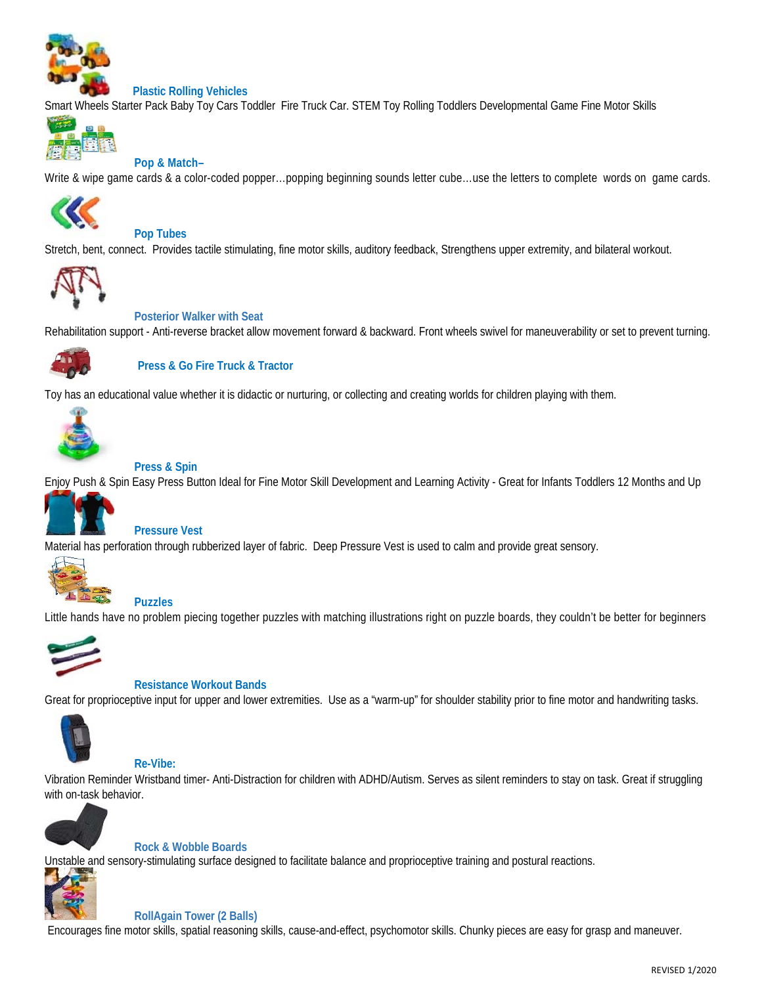

#### **Plastic Rolling Vehicles**

Smart Wheels Starter Pack Baby Toy Cars Toddler Fire Truck Car. STEM Toy Rolling Toddlers Developmental Game Fine Motor Skills



#### **Pop & Match–**

Write & wipe game cards & a color-coded popper...popping beginning sounds letter cube...use the letters to complete words on game cards.



## **Pop Tubes**

Stretch, bent, connect. Provides tactile stimulating, fine motor skills, auditory feedback, Strengthens upper extremity, and bilateral workout.



#### **Posterior Walker with Seat**

Rehabilitation support - Anti-reverse bracket allow movement forward & backward. Front wheels swivel for maneuverability or set to prevent turning.



## **Press & Go Fire Truck & Tractor**

Toy has an educational value whether it is didactic or nurturing, or collecting and creating worlds for children playing with them.



#### **Press & Spin**

Enjoy Push & Spin Easy Press Button Ideal for Fine Motor Skill Development and Learning Activity - Great for Infants Toddlers 12 Months and Up



#### **Pressure Vest**

Material has perforation through rubberized layer of fabric. Deep Pressure Vest is used to calm and provide great sensory.



#### **Puzzles**

Little hands have no problem piecing together puzzles with matching illustrations right on puzzle boards, they couldn't be better for beginners



#### **Resistance Workout Bands**

Great for proprioceptive input for upper and lower extremities. Use as a "warm-up" for shoulder stability prior to fine motor and handwriting tasks.



#### **Re-Vibe:**

Vibration Reminder Wristband timer- Anti-Distraction for children with ADHD/Autism. Serves as silent reminders to stay on task. Great if struggling with on-task behavior.



#### **Rock & Wobble Boards**

Unstable and sensory-stimulating surface designed to facilitate balance and proprioceptive training and postural reactions.



#### **RollAgain Tower (2 Balls)**

Encourages fine motor skills, spatial reasoning skills, cause-and-effect, psychomotor skills. Chunky pieces are easy for grasp and maneuver.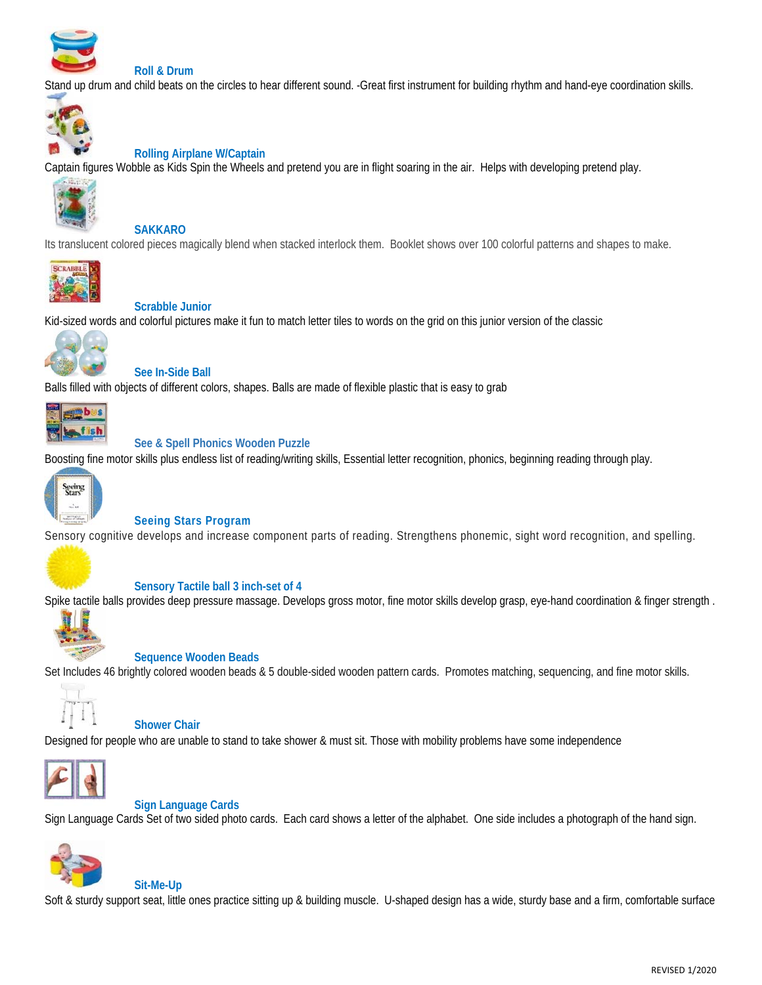

## **Roll & Drum**

Stand up drum and child beats on the circles to hear different sound. -Great first instrument for building rhythm and hand-eye coordination skills.



#### **Rolling Airplane W/Captain**

Captain figures Wobble as Kids Spin the Wheels and pretend you are in flight soaring in the air. Helps with developing pretend play.



#### **SAKKARO**

Its translucent colored pieces magically blend when stacked interlock them. Booklet shows over 100 colorful patterns and shapes to make.



#### **Scrabble Junior**

Kid-sized words and colorful pictures make it fun to match letter tiles to words on the grid on this junior version of the classic



#### **See In-Side Ball**

Balls filled with objects of different colors, shapes. Balls are made of flexible plastic that is easy to grab



#### **See & Spell Phonics Wooden Puzzle**

Boosting fine motor skills plus endless list of reading/writing skills, Essential letter recognition, phonics, beginning reading through play.



## **Seeing Stars Program**

Sensory cognitive develops and increase component parts of reading. Strengthens phonemic, sight word recognition, and spelling.



#### **Sensory Tactile ball 3 inch-set of 4**

Spike tactile balls provides deep pressure massage. Develops gross motor, fine motor skills develop grasp, eye-hand coordination & finger strength.



#### **Sequence Wooden Beads**

Set Includes 46 brightly colored wooden beads & 5 double-sided wooden pattern cards. Promotes matching, sequencing, and fine motor skills.



#### **Shower Chair**

 **Sit-Me-Up** 

Designed for people who are unable to stand to take shower & must sit. Those with mobility problems have some independence



#### **Sign Language Cards**

Sign Language Cards Set of two sided photo cards. Each card shows a letter of the alphabet. One side includes a photograph of the hand sign.



Soft & sturdy support seat, little ones practice sitting up & building muscle. U-shaped design has a wide, sturdy base and a firm, comfortable surface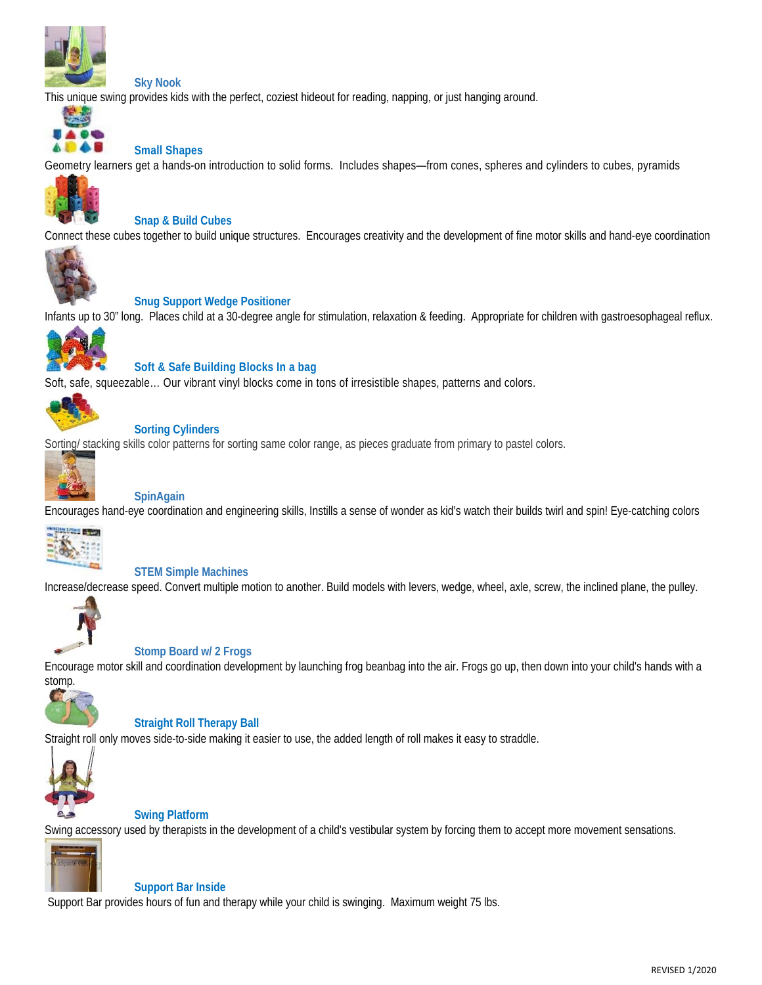

#### **Sky Nook**

This unique swing provides kids with the perfect, coziest hideout for reading, napping, or just hanging around.



#### **Small Shapes**

Geometry learners get a hands-on introduction to solid forms. Includes shapes—from cones, spheres and cylinders to cubes, pyramids



#### **Snap & Build Cubes**

Connect these cubes together to build unique structures. Encourages creativity and the development of fine motor skills and hand-eye coordination



#### **Snug Support Wedge Positioner**

Infants up to 30" long. Places child at a 30-degree angle for stimulation, relaxation & feeding. Appropriate for children with gastroesophageal reflux.



#### **Soft & Safe Building Blocks In a bag**

Soft, safe, squeezable… Our vibrant vinyl blocks come in tons of irresistible shapes, patterns and colors.



#### **Sorting Cylinders**

Sorting/ stacking skills color patterns for sorting same color range, as pieces graduate from primary to pastel colors.



#### **SpinAgain**

Encourages hand-eye coordination and engineering skills, Instills a sense of wonder as kid's watch their builds twirl and spin! Eye-catching colors



#### **STEM Simple Machines**

Increase/decrease speed. Convert multiple motion to another. Build models with levers, wedge, wheel, axle, screw, the inclined plane, the pulley.



#### **Stomp Board w/ 2 Frogs**

Encourage motor skill and coordination development by launching frog beanbag into the air. Frogs go up, then down into your child's hands with a



#### **Straight Roll Therapy Ball**

Straight roll only moves side-to-side making it easier to use, the added length of roll makes it easy to straddle.



## **Swing Platform**

Swing accessory used by therapists in the development of a child's vestibular system by forcing them to accept more movement sensations.



#### **Support Bar Inside**

Support Bar provides hours of fun and therapy while your child is swinging. Maximum weight 75 lbs.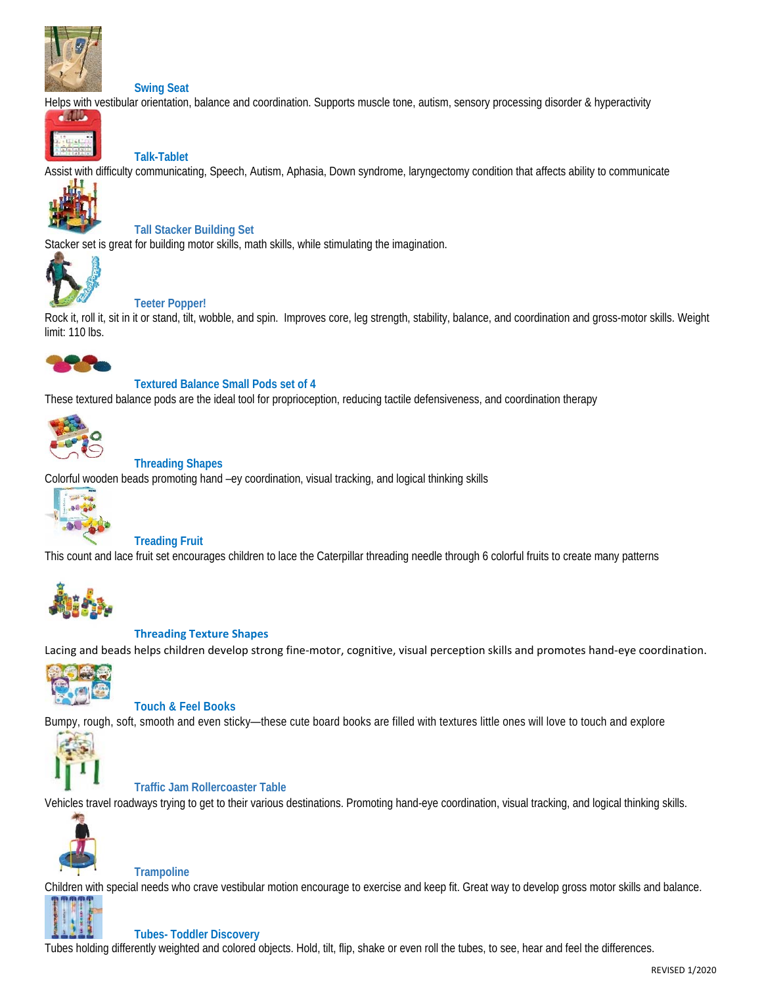

#### **Swing Seat**

Helps with vestibular orientation, balance and coordination. Supports muscle tone, autism, sensory processing disorder & hyperactivity



# **Talk-Tablet**

Assist with difficulty communicating, Speech, Autism, Aphasia, Down syndrome, laryngectomy condition that affects ability to communicate



**Tall Stacker Building Set** 

Stacker set is great for building motor skills, math skills, while stimulating the imagination.



## **Teeter Popper!**

Rock it, roll it, sit in it or stand, tilt, wobble, and spin. Improves core, leg strength, stability, balance, and coordination and gross-motor skills. Weight limit: 110 lbs.



# **Textured Balance Small Pods set of 4**

These textured balance pods are the ideal tool for proprioception, reducing tactile defensiveness, and coordination therapy



## **Threading Shapes**

Colorful wooden beads promoting hand –ey coordination, visual tracking, and logical thinking skills



#### **Treading Fruit**

This count and lace fruit set encourages children to lace the Caterpillar threading needle through 6 colorful fruits to create many patterns



#### **Threading Texture Shapes**

Lacing and beads helps children develop strong fine‐motor, cognitive, visual perception skills and promotes hand‐eye coordination.



## **Touch & Feel Books**

Bumpy, rough, soft, smooth and even sticky—these cute board books are filled with textures little ones will love to touch and explore



#### **Traffic Jam Rollercoaster Table**

Vehicles travel roadways trying to get to their various destinations. Promoting hand-eye coordination, visual tracking, and logical thinking skills.



#### **Trampoline**

Children with special needs who crave vestibular motion encourage to exercise and keep fit. Great way to develop gross motor skills and balance.



## **Tubes- Toddler Discovery**

Tubes holding differently weighted and colored objects. Hold, tilt, flip, shake or even roll the tubes, to see, hear and feel the differences.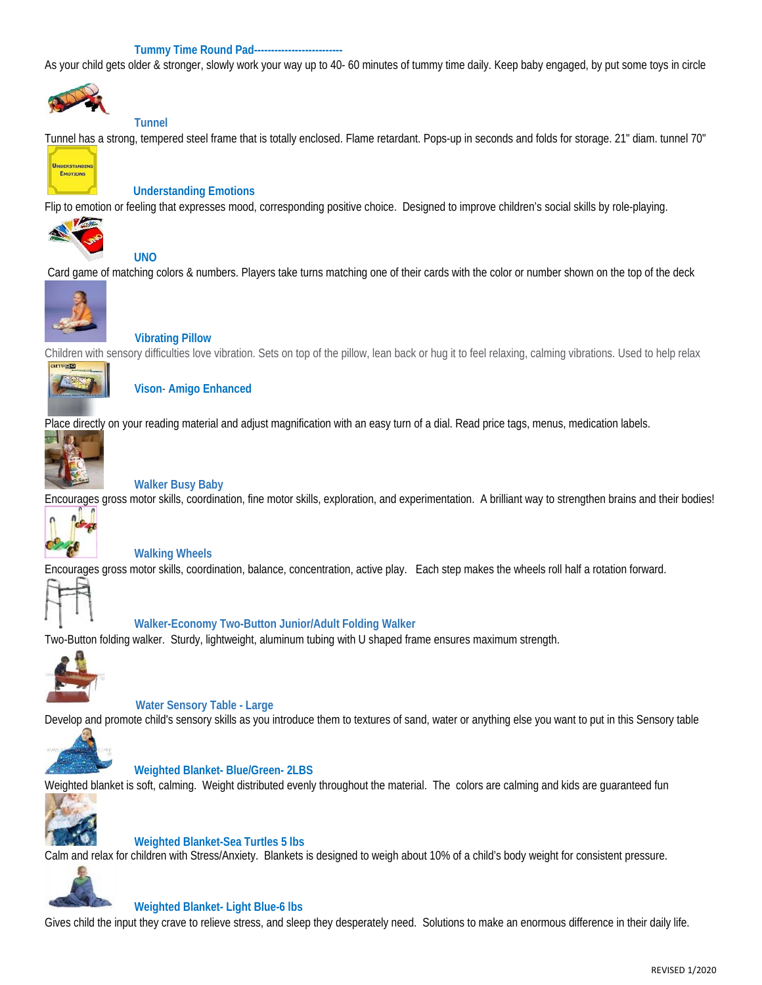#### **Tummy Time Round Pad--------------------------**

As your child gets older & stronger, slowly work your way up to 40- 60 minutes of tummy time daily. Keep baby engaged, by put some toys in circle



#### **Tunnel**

**UNO** 

Tunnel has a strong, tempered steel frame that is totally enclosed. Flame retardant. Pops-up in seconds and folds for storage. 21" diam. tunnel 70"



 **Understanding Emotions** 

Flip to emotion or feeling that expresses mood, corresponding positive choice. Designed to improve children's social skills by role-playing.



Card game of matching colors & numbers. Players take turns matching one of their cards with the color or number shown on the top of the deck



 **Vibrating Pillow** 

Children with sensory difficulties love vibration. Sets on top of the pillow, lean back or hug it to feel relaxing, calming vibrations. Used to help relax



 **Vison**- **Amigo Enhanced**

Place directly on your reading material and adjust magnification with an easy turn of a dial. Read price tags, menus, medication labels.



#### **Walker Busy Baby**

Encourages gross motor skills, coordination, fine motor skills, exploration, and experimentation. A brilliant way to strengthen brains and their bodies!



#### **Walking Wheels**

Encourages gross motor skills, coordination, balance, concentration, active play. Each step makes the wheels roll half a rotation forward.



#### **Walker-Economy Two-Button Junior/Adult Folding Walker**

Two-Button folding walker. Sturdy, lightweight, aluminum tubing with U shaped frame ensures maximum strength.



#### **Water Sensory Table - Large**

Develop and promote child's sensory skills as you introduce them to textures of sand, water or anything else you want to put in this Sensory table



#### **Weighted Blanket- Blue/Green- 2LBS**

Weighted blanket is soft, calming. Weight distributed evenly throughout the material. The colors are calming and kids are guaranteed fun



#### **Weighted Blanket-Sea Turtles 5 lbs**

Calm and relax for children with Stress/Anxiety. Blankets is designed to weigh about 10% of a child's body weight for consistent pressure.



#### **Weighted Blanket- Light Blue-6 lbs**

Gives child the input they crave to relieve stress, and sleep they desperately need. Solutions to make an enormous difference in their daily life.